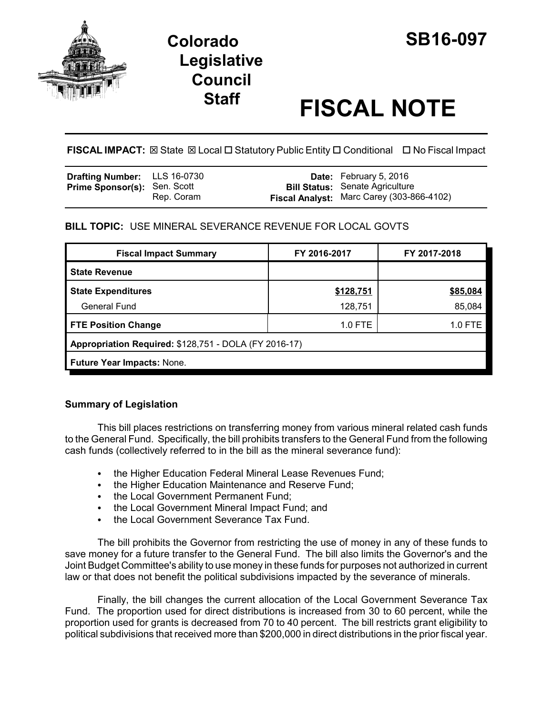

## **Colorado SB16-097 Legislative Council**

# **Staff FISCAL NOTE**

**FISCAL IMPACT:** ⊠ State ⊠ Local □ Statutory Public Entity □ Conditional □ No Fiscal Impact

| <b>Drafting Number:</b> LLS 16-0730 |            | <b>Date:</b> February 5, 2016             |
|-------------------------------------|------------|-------------------------------------------|
| <b>Prime Sponsor(s): Sen. Scott</b> |            | <b>Bill Status:</b> Senate Agriculture    |
|                                     | Rep. Coram | Fiscal Analyst: Marc Carey (303-866-4102) |

### **BILL TOPIC:** USE MINERAL SEVERANCE REVENUE FOR LOCAL GOVTS

| <b>Fiscal Impact Summary</b>                          | FY 2016-2017 | FY 2017-2018 |  |
|-------------------------------------------------------|--------------|--------------|--|
| <b>State Revenue</b>                                  |              |              |  |
| <b>State Expenditures</b>                             | \$128,751    | \$85,084     |  |
| <b>General Fund</b>                                   | 128,751      | 85,084       |  |
| <b>FTE Position Change</b>                            | $1.0$ FTE    | 1.0 FTE      |  |
| Appropriation Required: \$128,751 - DOLA (FY 2016-17) |              |              |  |
| <b>Future Year Impacts: None.</b>                     |              |              |  |

### **Summary of Legislation**

This bill places restrictions on transferring money from various mineral related cash funds to the General Fund. Specifically, the bill prohibits transfers to the General Fund from the following cash funds (collectively referred to in the bill as the mineral severance fund):

- the Higher Education Federal Mineral Lease Revenues Fund;
- the Higher Education Maintenance and Reserve Fund;
- the Local Government Permanent Fund;
- the Local Government Mineral Impact Fund: and
- the Local Government Severance Tax Fund.

The bill prohibits the Governor from restricting the use of money in any of these funds to save money for a future transfer to the General Fund. The bill also limits the Governor's and the Joint Budget Committee's ability to use money in these funds for purposes not authorized in current law or that does not benefit the political subdivisions impacted by the severance of minerals.

Finally, the bill changes the current allocation of the Local Government Severance Tax Fund. The proportion used for direct distributions is increased from 30 to 60 percent, while the proportion used for grants is decreased from 70 to 40 percent. The bill restricts grant eligibility to political subdivisions that received more than \$200,000 in direct distributions in the prior fiscal year.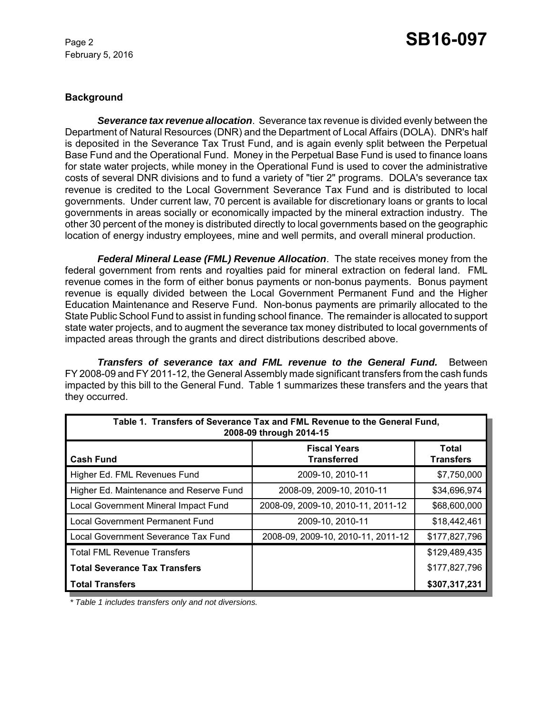February 5, 2016

### Page 2 **SB16-097**

### **Background**

*Severance tax revenue allocation*. Severance tax revenue is divided evenly between the Department of Natural Resources (DNR) and the Department of Local Affairs (DOLA). DNR's half is deposited in the Severance Tax Trust Fund, and is again evenly split between the Perpetual Base Fund and the Operational Fund. Money in the Perpetual Base Fund is used to finance loans for state water projects, while money in the Operational Fund is used to cover the administrative costs of several DNR divisions and to fund a variety of "tier 2" programs. DOLA's severance tax revenue is credited to the Local Government Severance Tax Fund and is distributed to local governments. Under current law, 70 percent is available for discretionary loans or grants to local governments in areas socially or economically impacted by the mineral extraction industry. The other 30 percent of the money is distributed directly to local governments based on the geographic location of energy industry employees, mine and well permits, and overall mineral production.

*Federal Mineral Lease (FML) Revenue Allocation*. The state receives money from the federal government from rents and royalties paid for mineral extraction on federal land. FML revenue comes in the form of either bonus payments or non-bonus payments. Bonus payment revenue is equally divided between the Local Government Permanent Fund and the Higher Education Maintenance and Reserve Fund. Non-bonus payments are primarily allocated to the State Public School Fund to assist in funding school finance. The remainder is allocated to support state water projects, and to augment the severance tax money distributed to local governments of impacted areas through the grants and direct distributions described above.

*Transfers of severance tax and FML revenue to the General Fund.* Between FY 2008-09 and FY 2011-12, the General Assembly made significant transfers from the cash funds impacted by this bill to the General Fund. Table 1 summarizes these transfers and the years that they occurred.

| Table 1. Transfers of Severance Tax and FML Revenue to the General Fund,<br>2008-09 through 2014-15 |                                           |                                  |  |
|-----------------------------------------------------------------------------------------------------|-------------------------------------------|----------------------------------|--|
| <b>Cash Fund</b>                                                                                    | <b>Fiscal Years</b><br><b>Transferred</b> | <b>Total</b><br><b>Transfers</b> |  |
| Higher Ed. FML Revenues Fund                                                                        | 2009-10, 2010-11                          | \$7,750,000                      |  |
| Higher Ed. Maintenance and Reserve Fund                                                             | 2008-09, 2009-10, 2010-11                 | \$34,696,974                     |  |
| Local Government Mineral Impact Fund                                                                | 2008-09, 2009-10, 2010-11, 2011-12        | \$68,600,000                     |  |
| <b>Local Government Permanent Fund</b>                                                              | 2009-10, 2010-11                          | \$18,442,461                     |  |
| Local Government Severance Tax Fund                                                                 | 2008-09, 2009-10, 2010-11, 2011-12        | \$177,827,796                    |  |
| <b>Total FML Revenue Transfers</b>                                                                  |                                           | \$129,489,435                    |  |
| <b>Total Severance Tax Transfers</b>                                                                |                                           | \$177,827,796                    |  |
| <b>Total Transfers</b>                                                                              |                                           | \$307,317,231                    |  |

*\* Table 1 includes transfers only and not diversions.*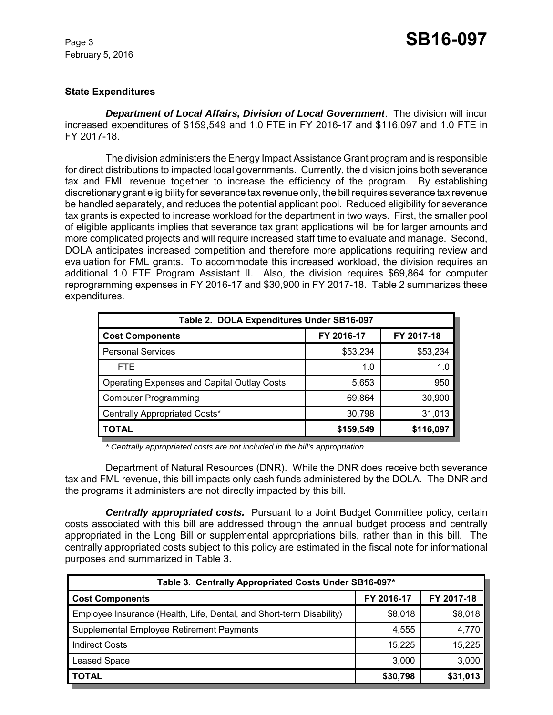February 5, 2016

### Page 3 **SB16-097**

#### **State Expenditures**

*Department of Local Affairs, Division of Local Government*. The division will incur increased expenditures of \$159,549 and 1.0 FTE in FY 2016-17 and \$116,097 and 1.0 FTE in FY 2017-18.

The division administers the Energy Impact Assistance Grant program and is responsible for direct distributions to impacted local governments. Currently, the division joins both severance tax and FML revenue together to increase the efficiency of the program. By establishing discretionary grant eligibility for severance tax revenue only, the bill requires severance tax revenue be handled separately, and reduces the potential applicant pool. Reduced eligibility for severance tax grants is expected to increase workload for the department in two ways. First, the smaller pool of eligible applicants implies that severance tax grant applications will be for larger amounts and more complicated projects and will require increased staff time to evaluate and manage. Second, DOLA anticipates increased competition and therefore more applications requiring review and evaluation for FML grants. To accommodate this increased workload, the division requires an additional 1.0 FTE Program Assistant II. Also, the division requires \$69,864 for computer reprogramming expenses in FY 2016-17 and \$30,900 in FY 2017-18. Table 2 summarizes these expenditures.

| Table 2. DOLA Expenditures Under SB16-097          |            |            |  |
|----------------------------------------------------|------------|------------|--|
| <b>Cost Components</b>                             | FY 2016-17 | FY 2017-18 |  |
| <b>Personal Services</b>                           | \$53,234   | \$53,234   |  |
| FTE.                                               | 1.0        | 1.0        |  |
| <b>Operating Expenses and Capital Outlay Costs</b> | 5,653      | 950        |  |
| Computer Programming                               | 69,864     | 30,900     |  |
| Centrally Appropriated Costs*                      | 30,798     | 31,013     |  |
| ΓΟΤΑL                                              | \$159,549  | \$116,097  |  |

*\* Centrally appropriated costs are not included in the bill's appropriation.*

Department of Natural Resources (DNR). While the DNR does receive both severance tax and FML revenue, this bill impacts only cash funds administered by the DOLA. The DNR and the programs it administers are not directly impacted by this bill.

*Centrally appropriated costs.* Pursuant to a Joint Budget Committee policy, certain costs associated with this bill are addressed through the annual budget process and centrally appropriated in the Long Bill or supplemental appropriations bills, rather than in this bill. The centrally appropriated costs subject to this policy are estimated in the fiscal note for informational purposes and summarized in Table 3.

| Table 3. Centrally Appropriated Costs Under SB16-097*                |            |            |  |
|----------------------------------------------------------------------|------------|------------|--|
| <b>Cost Components</b>                                               | FY 2016-17 | FY 2017-18 |  |
| Employee Insurance (Health, Life, Dental, and Short-term Disability) | \$8,018    | \$8,018    |  |
| Supplemental Employee Retirement Payments                            | 4,555      | 4,770      |  |
| <b>Indirect Costs</b>                                                | 15,225     | 15,225     |  |
| <b>Leased Space</b>                                                  | 3,000      | 3,000      |  |
| <b>TOTAL</b>                                                         | \$30,798   | \$31,013   |  |